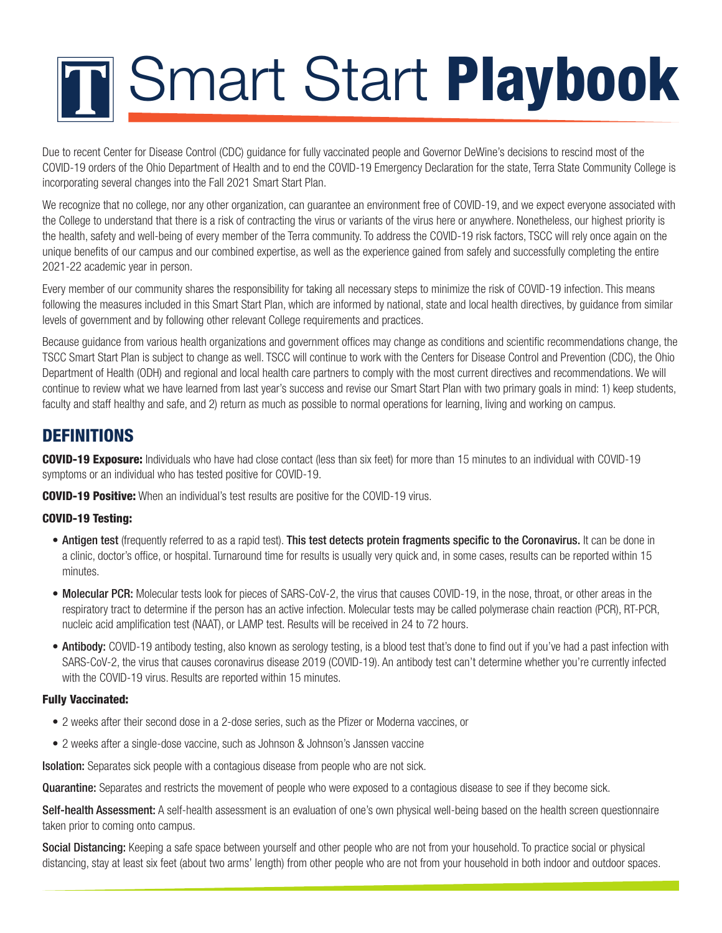# **TH** Smart Start Playbook

Due to recent Center for Disease Control (CDC) quidance for fully vaccinated people and Governor DeWine's decisions to rescind most of the COVID-19 orders of the Ohio Department of Health and to end the COVID-19 Emergency Declaration for the state, Terra State Community College is incorporating several changes into the Fall 2021 Smart Start Plan.

We recognize that no college, nor any other organization, can guarantee an environment free of COVID-19, and we expect everyone associated with the College to understand that there is a risk of contracting the virus or variants of the virus here or anywhere. Nonetheless, our highest priority is the health, safety and well-being of every member of the Terra community. To address the COVID-19 risk factors, TSCC will rely once again on the unique benefits of our campus and our combined expertise, as well as the experience gained from safely and successfully completing the entire 2021-22 academic year in person.

Every member of our community shares the responsibility for taking all necessary steps to minimize the risk of COVID-19 infection. This means following the measures included in this Smart Start Plan, which are informed by national, state and local health directives, by guidance from similar levels of government and by following other relevant College requirements and practices.

Because guidance from various health organizations and government offices may change as conditions and scientific recommendations change, the TSCC Smart Start Plan is subject to change as well. TSCC will continue to work with the Centers for Disease Control and Prevention (CDC), the Ohio Department of Health (ODH) and regional and local health care partners to comply with the most current directives and recommendations. We will continue to review what we have learned from last year's success and revise our Smart Start Plan with two primary goals in mind: 1) keep students, faculty and staff healthy and safe, and 2) return as much as possible to normal operations for learning, living and working on campus.

## **DEFINITIONS**

COVID-19 Exposure: Individuals who have had close contact (less than six feet) for more than 15 minutes to an individual with COVID-19 symptoms or an individual who has tested positive for COVID-19.

**COVID-19 Positive:** When an individual's test results are positive for the COVID-19 virus.

#### COVID-19 Testing:

- Antigen test (frequently referred to as a rapid test). This test detects protein fragments specific to the Coronavirus. It can be done in a clinic, doctor's office, or hospital. Turnaround time for results is usually very quick and, in some cases, results can be reported within 15 minutes.
- Molecular PCR: Molecular tests look for pieces of SARS-CoV-2, the virus that causes COVID-19, in the nose, throat, or other areas in the respiratory tract to determine if the person has an active infection. Molecular tests may be called polymerase chain reaction (PCR), RT-PCR, nucleic acid amplification test (NAAT), or LAMP test. Results will be received in 24 to 72 hours.
- Antibody: COVID-19 antibody testing, also known as serology testing, is a blood test that's done to find out if you've had a past infection with SARS-CoV-2, the virus that causes coronavirus disease 2019 (COVID-19). An antibody test can't determine whether you're currently infected with the COVID-19 virus. Results are reported within 15 minutes.

#### Fully Vaccinated:

- 2 weeks after their second dose in a 2-dose series, such as the Pfizer or Moderna vaccines, or
- 2 weeks after a single-dose vaccine, such as Johnson & Johnson's Janssen vaccine

**Isolation:** Separates sick people with a contagious disease from people who are not sick.

Quarantine: Separates and restricts the movement of people who were exposed to a contagious disease to see if they become sick.

Self-health Assessment: A self-health assessment is an evaluation of one's own physical well-being based on the health screen questionnaire taken prior to coming onto campus.

Social Distancing: Keeping a safe space between yourself and other people who are not from your household. To practice social or physical distancing, stay at least six feet (about two arms' length) from other people who are not from your household in both indoor and outdoor spaces.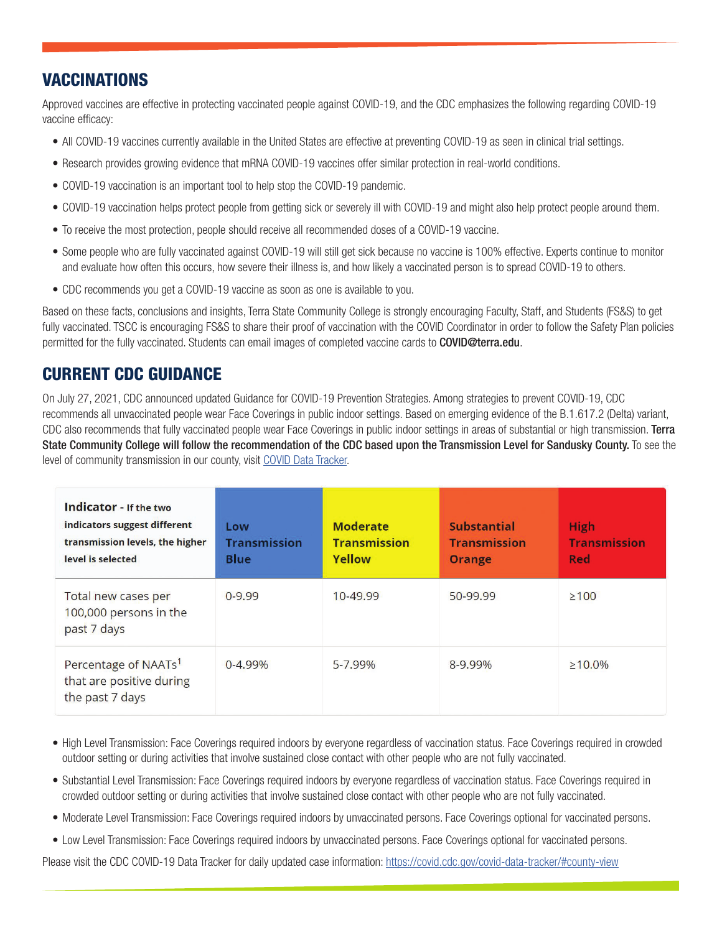## VACCINATIONS

Approved vaccines are effective in protecting vaccinated people against COVID-19, and the CDC emphasizes the following regarding COVID-19 vaccine efficacy:

- All COVID-19 vaccines currently available in the United States are effective at preventing COVID-19 as seen in clinical trial settings.
- Research provides growing evidence that mRNA COVID-19 vaccines offer similar protection in real-world conditions.
- COVID-19 vaccination is an important tool to help stop the COVID-19 pandemic.
- COVID-19 vaccination helps protect people from getting sick or severely ill with COVID-19 and might also help protect people around them.
- To receive the most protection, people should receive all recommended doses of a COVID-19 vaccine.
- Some people who are fully vaccinated against COVID-19 will still get sick because no vaccine is 100% effective. Experts continue to monitor and evaluate how often this occurs, how severe their illness is, and how likely a vaccinated person is to spread COVID-19 to others.
- CDC recommends you get a COVID-19 vaccine as soon as one is available to you.

Based on these facts, conclusions and insights, Terra State Community College is strongly encouraging Faculty, Staff, and Students (FS&S) to get fully vaccinated. TSCC is encouraging FS&S to share their proof of vaccination with the COVID Coordinator in order to follow the Safety Plan policies permitted for the fully vaccinated. Students can email images of completed vaccine cards to COVID@terra.edu.

## CURRENT CDC GUIDANCE

On July 27, 2021, CDC announced updated Guidance for COVID-19 Prevention Strategies. Among strategies to prevent COVID-19, CDC recommends all unvaccinated people wear Face Coverings in public indoor settings. Based on emerging evidence of the B.1.617.2 (Delta) variant, CDC also recommends that fully vaccinated people wear Face Coverings in public indoor settings in areas of substantial or high transmission. Terra State Community College will follow the recommendation of the CDC based upon the Transmission Level for Sandusky County. To see the level of community transmission in our county, visit COVID Data Tracker.

| Indicator - If the two<br>indicators suggest different<br>transmission levels, the higher<br>level is selected | Low<br><b>Transmission</b><br><b>Blue</b> | <b>Moderate</b><br><b>Transmission</b><br>Yellow | <b>Substantial</b><br><b>Transmission</b><br><b>Orange</b> | High<br><b>Transmission</b><br>Red |
|----------------------------------------------------------------------------------------------------------------|-------------------------------------------|--------------------------------------------------|------------------------------------------------------------|------------------------------------|
| Total new cases per<br>100,000 persons in the<br>past 7 days                                                   | $0 - 9.99$                                | 10-49.99                                         | 50-99.99                                                   | $\geq 100$                         |
| Percentage of NAATs <sup>1</sup><br>that are positive during<br>the past 7 days                                | $0 - 4.99%$                               | 5-7.99%                                          | 8-9.99%                                                    | $\geq 10.0\%$                      |

- High Level Transmission: Face Coverings required indoors by everyone regardless of vaccination status. Face Coverings required in crowded outdoor setting or during activities that involve sustained close contact with other people who are not fully vaccinated.
- Substantial Level Transmission: Face Coverings required indoors by everyone regardless of vaccination status. Face Coverings required in crowded outdoor setting or during activities that involve sustained close contact with other people who are not fully vaccinated.
- Moderate Level Transmission: Face Coverings required indoors by unvaccinated persons. Face Coverings optional for vaccinated persons.
- Low Level Transmission: Face Coverings required indoors by unvaccinated persons. Face Coverings optional for vaccinated persons.

Please visit the CDC COVID-19 Data Tracker for daily updated case information: https://covid.cdc.gov/covid-data-tracker/#county-view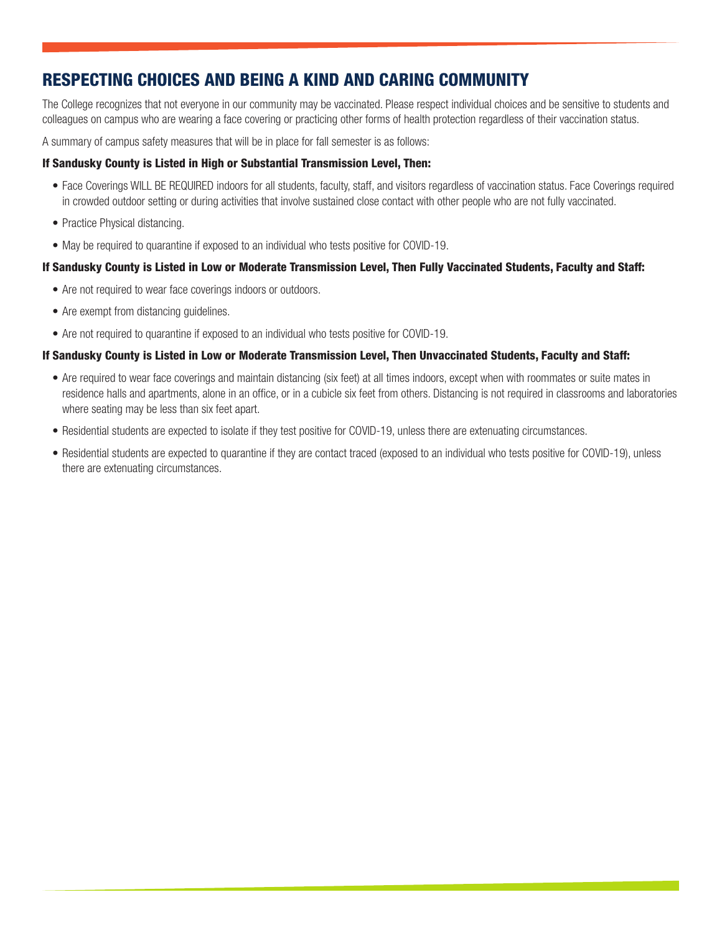# RESPECTING CHOICES AND BEING A KIND AND CARING COMMUNITY

The College recognizes that not everyone in our community may be vaccinated. Please respect individual choices and be sensitive to students and colleagues on campus who are wearing a face covering or practicing other forms of health protection regardless of their vaccination status.

A summary of campus safety measures that will be in place for fall semester is as follows:

#### If Sandusky County is Listed in High or Substantial Transmission Level, Then:

- Face Coverings WILL BE REQUIRED indoors for all students, faculty, staff, and visitors regardless of vaccination status. Face Coverings required in crowded outdoor setting or during activities that involve sustained close contact with other people who are not fully vaccinated.
- Practice Physical distancing.
- May be required to quarantine if exposed to an individual who tests positive for COVID-19.

#### If Sandusky County is Listed in Low or Moderate Transmission Level, Then Fully Vaccinated Students, Faculty and Staff:

- Are not required to wear face coverings indoors or outdoors.
- Are exempt from distancing guidelines.
- Are not required to quarantine if exposed to an individual who tests positive for COVID-19.

#### If Sandusky County is Listed in Low or Moderate Transmission Level, Then Unvaccinated Students, Faculty and Staff:

- Are required to wear face coverings and maintain distancing (six feet) at all times indoors, except when with roommates or suite mates in residence halls and apartments, alone in an office, or in a cubicle six feet from others. Distancing is not required in classrooms and laboratories where seating may be less than six feet apart.
- Residential students are expected to isolate if they test positive for COVID-19, unless there are extenuating circumstances.
- Residential students are expected to quarantine if they are contact traced (exposed to an individual who tests positive for COVID-19), unless there are extenuating circumstances.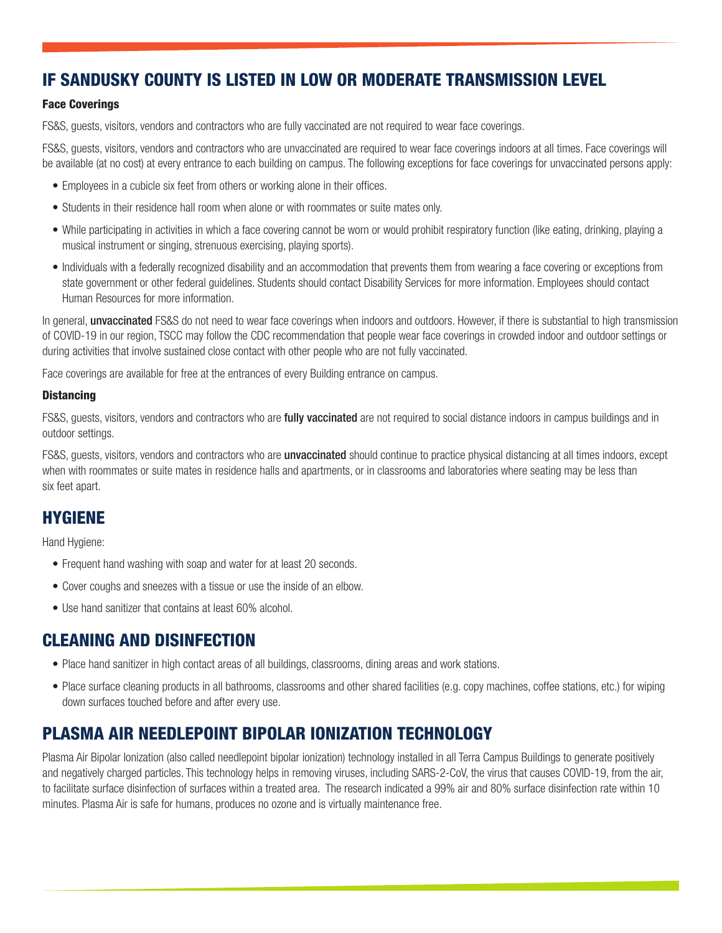## IF SANDUSKY COUNTY IS LISTED IN LOW OR MODERATE TRANSMISSION LEVEL

#### Face Coverings

FS&S, guests, visitors, vendors and contractors who are fully vaccinated are not required to wear face coverings.

FS&S, guests, visitors, vendors and contractors who are unvaccinated are required to wear face coverings indoors at all times. Face coverings will be available (at no cost) at every entrance to each building on campus. The following exceptions for face coverings for unvaccinated persons apply:

- Employees in a cubicle six feet from others or working alone in their offices.
- Students in their residence hall room when alone or with roommates or suite mates only.
- While participating in activities in which a face covering cannot be worn or would prohibit respiratory function (like eating, drinking, playing a musical instrument or singing, strenuous exercising, playing sports).
- Individuals with a federally recognized disability and an accommodation that prevents them from wearing a face covering or exceptions from state government or other federal guidelines. Students should contact Disability Services for more information. Employees should contact Human Resources for more information.

In general, **unvaccinated** FS&S do not need to wear face coverings when indoors and outdoors. However, if there is substantial to high transmission of COVID-19 in our region, TSCC may follow the CDC recommendation that people wear face coverings in crowded indoor and outdoor settings or during activities that involve sustained close contact with other people who are not fully vaccinated.

Face coverings are available for free at the entrances of every Building entrance on campus.

#### **Distancing**

FS&S, guests, visitors, vendors and contractors who are **fully vaccinated** are not required to social distance indoors in campus buildings and in outdoor settings.

FS&S, guests, visitors, vendors and contractors who are *unvaccinated* should continue to practice physical distancing at all times indoors, except when with roommates or suite mates in residence halls and apartments, or in classrooms and laboratories where seating may be less than six feet apart.

#### HYGIENE

Hand Hygiene:

- Frequent hand washing with soap and water for at least 20 seconds.
- Cover coughs and sneezes with a tissue or use the inside of an elbow.
- Use hand sanitizer that contains at least 60% alcohol.

#### CLEANING AND DISINFECTION

- Place hand sanitizer in high contact areas of all buildings, classrooms, dining areas and work stations.
- Place surface cleaning products in all bathrooms, classrooms and other shared facilities (e.g. copy machines, coffee stations, etc.) for wiping down surfaces touched before and after every use.

## PLASMA AIR NEEDLEPOINT BIPOLAR IONIZATION TECHNOLOGY

Plasma Air Bipolar Ionization (also called needlepoint bipolar ionization) technology installed in all Terra Campus Buildings to generate positively and negatively charged particles. This technology helps in removing viruses, including SARS-2-CoV, the virus that causes COVID-19, from the air, to facilitate surface disinfection of surfaces within a treated area. The research indicated a 99% air and 80% surface disinfection rate within 10 minutes. Plasma Air is safe for humans, produces no ozone and is virtually maintenance free.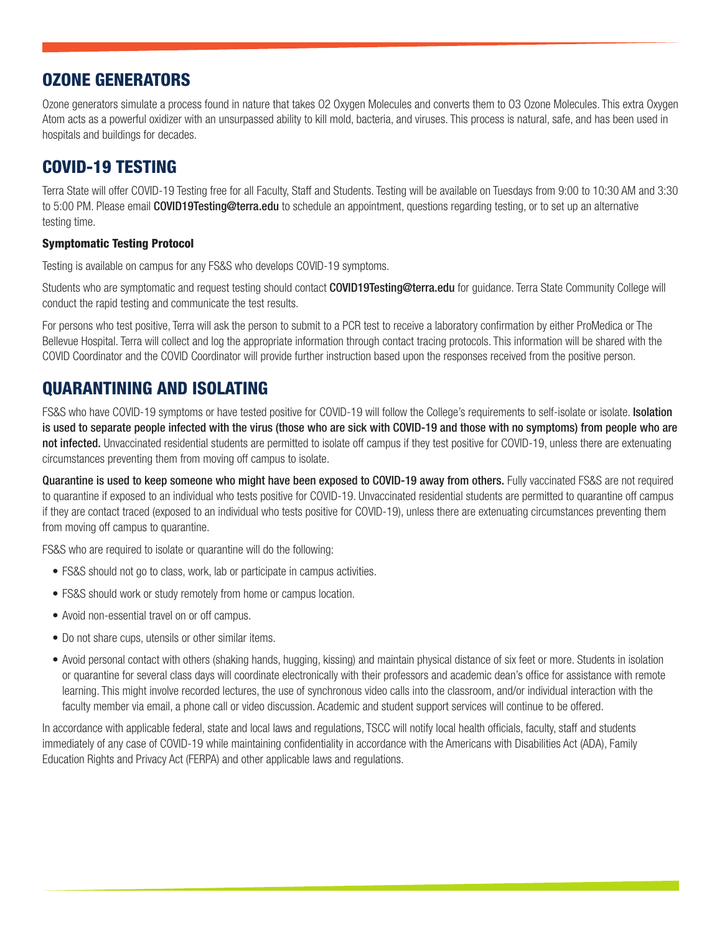## OZONE GENERATORS

Ozone generators simulate a process found in nature that takes O2 Oxygen Molecules and converts them to O3 Ozone Molecules. This extra Oxygen Atom acts as a powerful oxidizer with an unsurpassed ability to kill mold, bacteria, and viruses. This process is natural, safe, and has been used in hospitals and buildings for decades.

## COVID-19 TESTING

Terra State will offer COVID-19 Testing free for all Faculty, Staff and Students. Testing will be available on Tuesdays from 9:00 to 10:30 AM and 3:30 to 5:00 PM. Please email **COVID19Testing@terra.edu** to schedule an appointment, questions regarding testing, or to set up an alternative testing time.

#### Symptomatic Testing Protocol

Testing is available on campus for any FS&S who develops COVID-19 symptoms.

Students who are symptomatic and request testing should contact COVID19Testing@terra.edu for guidance. Terra State Community College will conduct the rapid testing and communicate the test results.

For persons who test positive, Terra will ask the person to submit to a PCR test to receive a laboratory confirmation by either ProMedica or The Bellevue Hospital. Terra will collect and log the appropriate information through contact tracing protocols. This information will be shared with the COVID Coordinator and the COVID Coordinator will provide further instruction based upon the responses received from the positive person.

# QUARANTINING AND ISOLATING

FS&S who have COVID-19 symptoms or have tested positive for COVID-19 will follow the College's requirements to self-isolate or isolate. Isolation is used to separate people infected with the virus (those who are sick with COVID-19 and those with no symptoms) from people who are not infected. Unvaccinated residential students are permitted to isolate off campus if they test positive for COVID-19, unless there are extenuating circumstances preventing them from moving off campus to isolate.

Quarantine is used to keep someone who might have been exposed to COVID-19 away from others. Fully vaccinated FS&S are not required to quarantine if exposed to an individual who tests positive for COVID-19. Unvaccinated residential students are permitted to quarantine off campus if they are contact traced (exposed to an individual who tests positive for COVID-19), unless there are extenuating circumstances preventing them from moving off campus to quarantine.

FS&S who are required to isolate or quarantine will do the following:

- FS&S should not go to class, work, lab or participate in campus activities.
- FS&S should work or study remotely from home or campus location.
- Avoid non-essential travel on or off campus.
- Do not share cups, utensils or other similar items.
- Avoid personal contact with others (shaking hands, hugging, kissing) and maintain physical distance of six feet or more. Students in isolation or quarantine for several class days will coordinate electronically with their professors and academic dean's office for assistance with remote learning. This might involve recorded lectures, the use of synchronous video calls into the classroom, and/or individual interaction with the faculty member via email, a phone call or video discussion. Academic and student support services will continue to be offered.

In accordance with applicable federal, state and local laws and regulations, TSCC will notify local health officials, faculty, staff and students immediately of any case of COVID-19 while maintaining confidentiality in accordance with the Americans with Disabilities Act (ADA), Family Education Rights and Privacy Act (FERPA) and other applicable laws and regulations.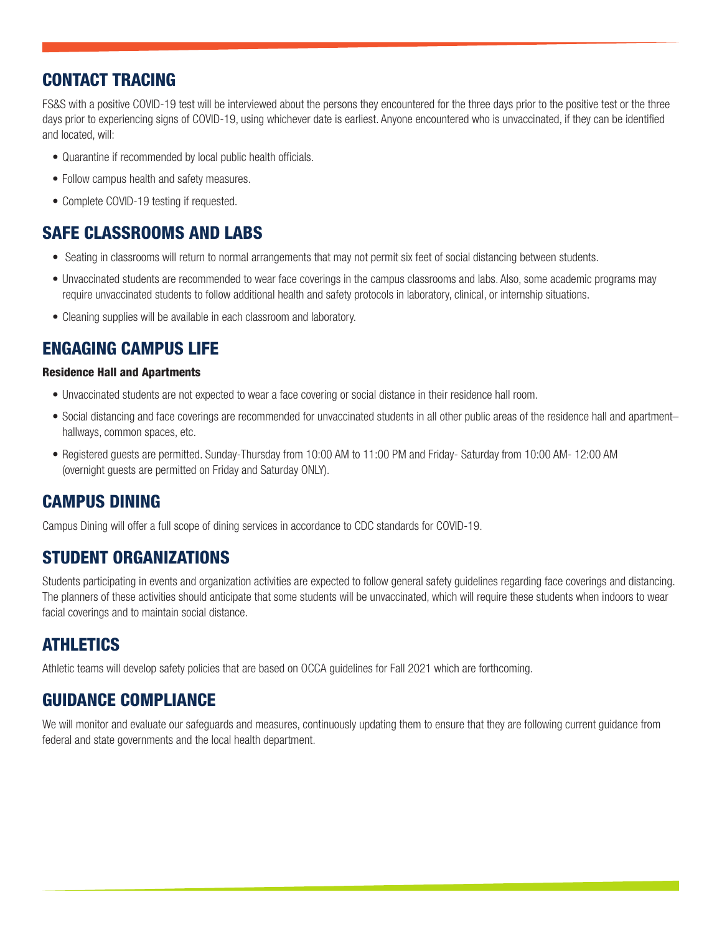## CONTACT TRACING

FS&S with a positive COVID-19 test will be interviewed about the persons they encountered for the three days prior to the positive test or the three days prior to experiencing signs of COVID-19, using whichever date is earliest. Anyone encountered who is unvaccinated, if they can be identified and located, will:

- Quarantine if recommended by local public health officials.
- Follow campus health and safety measures.
- Complete COVID-19 testing if requested.

## SAFE CLASSROOMS AND LABS

- Seating in classrooms will return to normal arrangements that may not permit six feet of social distancing between students.
- Unvaccinated students are recommended to wear face coverings in the campus classrooms and labs. Also, some academic programs may require unvaccinated students to follow additional health and safety protocols in laboratory, clinical, or internship situations.
- Cleaning supplies will be available in each classroom and laboratory.

#### ENGAGING CAMPUS LIFE

#### Residence Hall and Apartments

- Unvaccinated students are not expected to wear a face covering or social distance in their residence hall room.
- Social distancing and face coverings are recommended for unvaccinated students in all other public areas of the residence hall and apartment– hallways, common spaces, etc.
- Registered guests are permitted. Sunday-Thursday from 10:00 AM to 11:00 PM and Friday- Saturday from 10:00 AM- 12:00 AM (overnight guests are permitted on Friday and Saturday ONLY).

#### CAMPUS DINING

Campus Dining will offer a full scope of dining services in accordance to CDC standards for COVID-19.

#### STUDENT ORGANIZATIONS

Students participating in events and organization activities are expected to follow general safety guidelines regarding face coverings and distancing. The planners of these activities should anticipate that some students will be unvaccinated, which will require these students when indoors to wear facial coverings and to maintain social distance.

#### **ATHLETICS**

Athletic teams will develop safety policies that are based on OCCA guidelines for Fall 2021 which are forthcoming.

#### GUIDANCE COMPLIANCE

We will monitor and evaluate our safeguards and measures, continuously updating them to ensure that they are following current guidance from federal and state governments and the local health department.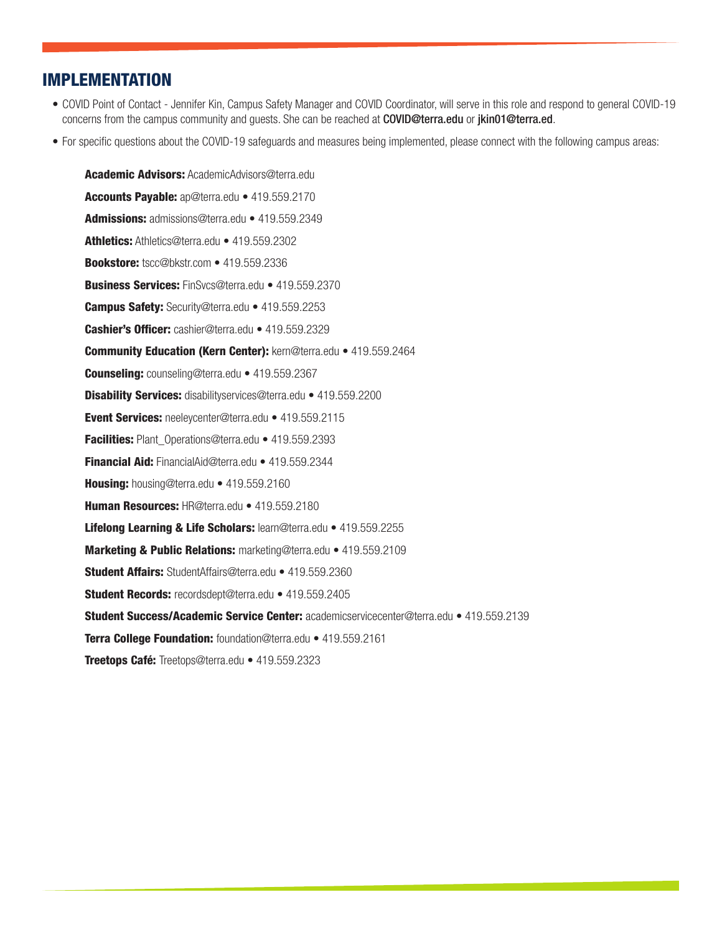#### IMPLEMENTATION

- COVID Point of Contact Jennifer Kin, Campus Safety Manager and COVID Coordinator, will serve in this role and respond to general COVID-19 concerns from the campus community and guests. She can be reached at **COVID@terra.edu** or jkin01@terra.ed.
- For specific questions about the COVID-19 safeguards and measures being implemented, please connect with the following campus areas:

Academic Advisors: AcademicAdvisors@terra.edu Accounts Payable: ap@terra.edu • 419.559.2170 Admissions: admissions@terra.edu • 419.559.2349 Athletics: Athletics@terra.edu • 419.559.2302 Bookstore: tscc@bkstr.com • 419.559.2336 Business Services: FinSvcs@terra.edu • 419.559.2370 **Campus Safety:** Security@terra.edu • 419.559.2253 Cashier's Officer: cashier@terra.edu • 419.559.2329 Community Education (Kern Center): kern@terra.edu • 419.559.2464 Counseling: counseling@terra.edu • 419.559.2367 Disability Services: disabilityservices@terra.edu • 419.559.2200 Event Services: neeleycenter@terra.edu • 419.559.2115 Facilities: Plant\_Operations@terra.edu • 419.559.2393 Financial Aid: FinancialAid@terra.edu • 419.559.2344 Housing: housing@terra.edu • 419.559.2160 Human Resources: HR@terra.edu • 419.559.2180 Lifelong Learning & Life Scholars: learn@terra.edu • 419.559.2255 Marketing & Public Relations: marketing@terra.edu • 419.559.2109 Student Affairs: StudentAffairs@terra.edu • 419.559.2360 Student Records: recordsdept@terra.edu • 419.559.2405 Student Success/Academic Service Center: academicservicecenter@terra.edu • 419.559.2139 Terra College Foundation: foundation@terra.edu • 419.559.2161 Treetops Café: Treetops@terra.edu • 419.559.2323